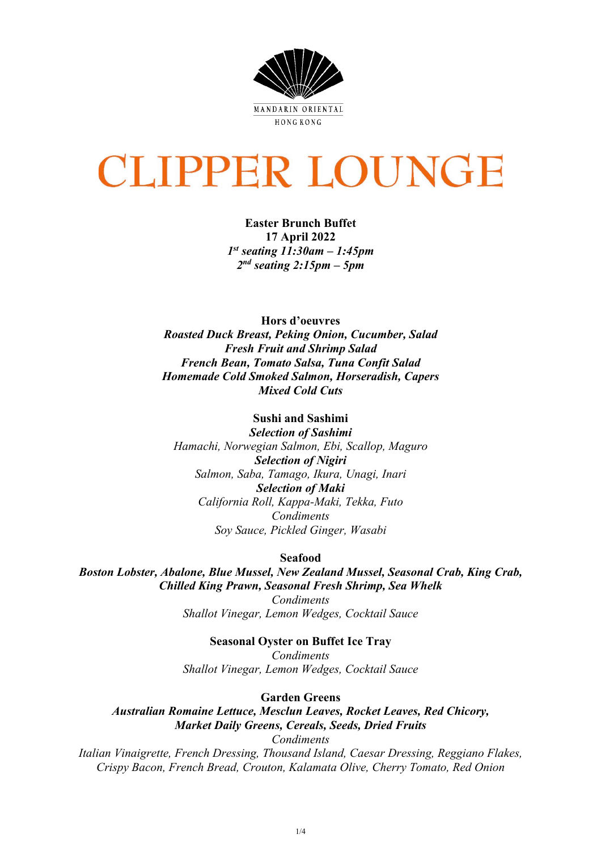

# **CLIPPER LOUNGE**

**Easter Brunch Buffet 17 April 2022** *1st seating 11:30am – 1:45pm 2nd seating 2:15pm – 5pm*

**Hors d'oeuvres** *Roasted Duck Breast, Peking Onion, Cucumber, Salad Fresh Fruit and Shrimp Salad French Bean, Tomato Salsa, Tuna Confit Salad Homemade Cold Smoked Salmon, Horseradish, Capers Mixed Cold Cuts*

**Sushi and Sashimi**  *Selection of Sashimi Hamachi, Norwegian Salmon, Ebi, Scallop, Maguro Selection of Nigiri Salmon, Saba, Tamago, Ikura, Unagi, Inari Selection of Maki California Roll, Kappa-Maki, Tekka, Futo Condiments Soy Sauce, Pickled Ginger, Wasabi*

**Seafood**

*Boston Lobster, Abalone, Blue Mussel, New Zealand Mussel, Seasonal Crab, King Crab, Chilled King Prawn, Seasonal Fresh Shrimp, Sea Whelk*

*Condiments Shallot Vinegar, Lemon Wedges, Cocktail Sauce*

## **Seasonal Oyster on Buffet Ice Tray**

*Condiments Shallot Vinegar, Lemon Wedges, Cocktail Sauce*

**Garden Greens**

*Australian Romaine Lettuce, Mesclun Leaves, Rocket Leaves, Red Chicory, Market Daily Greens, Cereals, Seeds, Dried Fruits Condiments*

*Italian Vinaigrette, French Dressing, Thousand Island, Caesar Dressing, Reggiano Flakes, Crispy Bacon, French Bread, Crouton, Kalamata Olive, Cherry Tomato, Red Onion*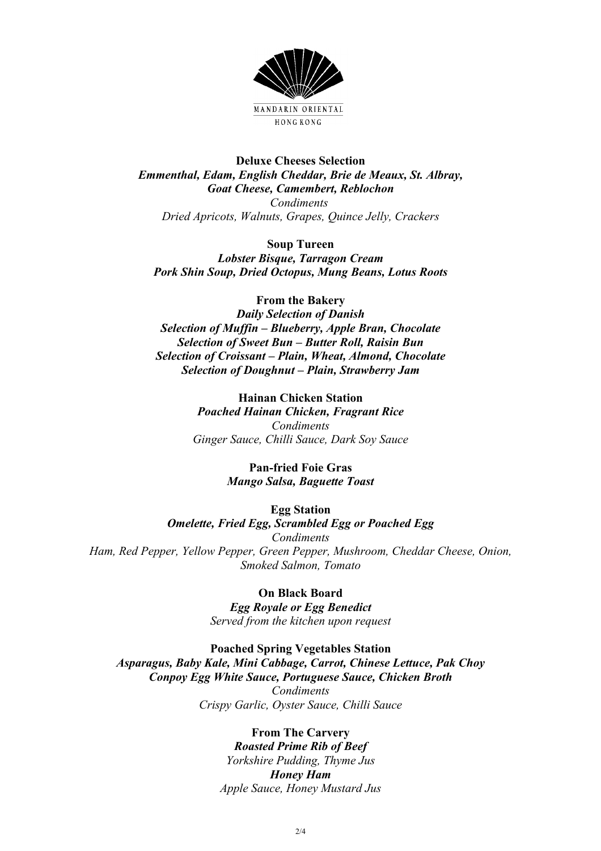

**Deluxe Cheeses Selection** *Emmenthal, Edam, English Cheddar, Brie de Meaux, St. Albray, Goat Cheese, Camembert, Reblochon Condiments Dried Apricots, Walnuts, Grapes, Quince Jelly, Crackers*

**Soup Tureen** *Lobster Bisque, Tarragon Cream Pork Shin Soup, Dried Octopus, Mung Beans, Lotus Roots*

**From the Bakery** *Daily Selection of Danish Selection of Muffin – Blueberry, Apple Bran, Chocolate Selection of Sweet Bun – Butter Roll, Raisin Bun Selection of Croissant – Plain, Wheat, Almond, Chocolate Selection of Doughnut – Plain, Strawberry Jam*

> **Hainan Chicken Station** *Poached Hainan Chicken, Fragrant Rice Condiments Ginger Sauce, Chilli Sauce, Dark Soy Sauce*

> > **Pan-fried Foie Gras** *Mango Salsa, Baguette Toast*

> > > **Egg Station**

*Omelette, Fried Egg, Scrambled Egg or Poached Egg Condiments Ham, Red Pepper, Yellow Pepper, Green Pepper, Mushroom, Cheddar Cheese, Onion, Smoked Salmon, Tomato*

> **On Black Board** *Egg Royale or Egg Benedict Served from the kitchen upon request*

**Poached Spring Vegetables Station** *Asparagus, Baby Kale, Mini Cabbage, Carrot, Chinese Lettuce, Pak Choy Conpoy Egg White Sauce, Portuguese Sauce, Chicken Broth Condiments Crispy Garlic, Oyster Sauce, Chilli Sauce*

### **From The Carvery**

*Roasted Prime Rib of Beef Yorkshire Pudding, Thyme Jus Honey Ham Apple Sauce, Honey Mustard Jus*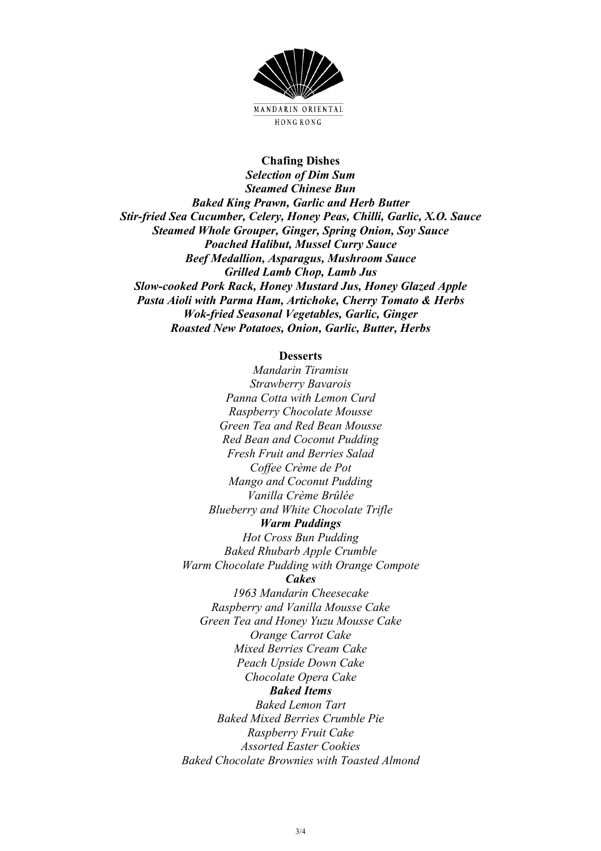

#### **Chafing Dishes**

*Selection of Dim Sum Steamed Chinese Bun Baked King Prawn, Garlic and Herb Butter Stir-fried Sea Cucumber, Celery, Honey Peas, Chilli, Garlic, X.O. Sauce Steamed Whole Grouper, Ginger, Spring Onion, Soy Sauce Poached Halibut, Mussel Curry Sauce Beef Medallion, Asparagus, Mushroom Sauce Grilled Lamb Chop, Lamb Jus Slow-cooked Pork Rack, Honey Mustard Jus, Honey Glazed Apple Pasta Aioli with Parma Ham, Artichoke, Cherry Tomato & Herbs Wok-fried Seasonal Vegetables, Garlic, Ginger Roasted New Potatoes, Onion, Garlic, Butter, Herbs*

#### **Desserts**

*Mandarin Tiramisu Strawberry Bavarois Panna Cotta with Lemon Curd Raspberry Chocolate Mousse Green Tea and Red Bean Mousse Red Bean and Coconut Pudding Fresh Fruit and Berries Salad Coffee Crème de Pot Mango and Coconut Pudding Vanilla Crème Brûlée Blueberry and White Chocolate Trifle Warm Puddings Hot Cross Bun Pudding Baked Rhubarb Apple Crumble Warm Chocolate Pudding with Orange Compote Cakes 1963 Mandarin Cheesecake Raspberry and Vanilla Mousse Cake Green Tea and Honey Yuzu Mousse Cake Orange Carrot Cake Mixed Berries Cream Cake Peach Upside Down Cake Chocolate Opera Cake Baked Items Baked Lemon Tart Baked Mixed Berries Crumble Pie Raspberry Fruit Cake Assorted Easter Cookies Baked Chocolate Brownies with Toasted Almond*